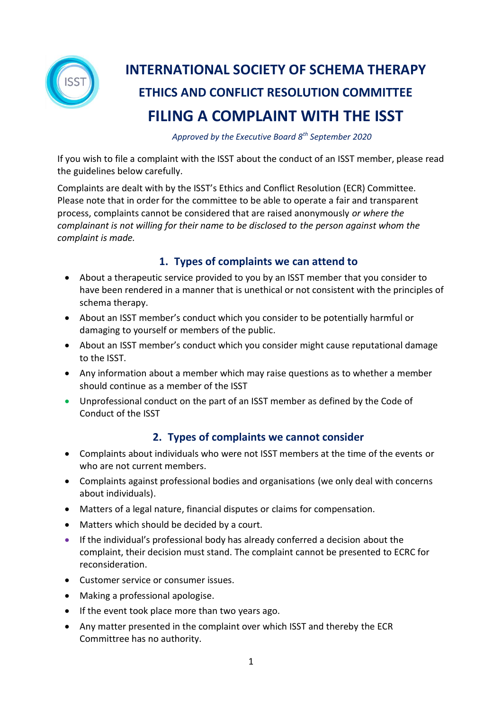

# **INTERNATIONAL SOCIETY OF SCHEMA THERAPY ETHICS AND CONFLICT RESOLUTION COMMITTEE FILING A COMPLAINT WITH THE ISST**

 *Approved by the Executive Board 8th September 2020*

If you wish to file a complaint with the ISST about the conduct of an ISST member, please read the guidelines below carefully.

Complaints are dealt with by the ISST's Ethics and Conflict Resolution (ECR) Committee. Please note that in order for the committee to be able to operate a fair and transparent process, complaints cannot be considered that are raised anonymously *or where the complainant is not willing for their name to be disclosed to the person against whom the complaint is made.*

## **1. Types of complaints we can attend to**

- About a therapeutic service provided to you by an ISST member that you consider to have been rendered in a manner that is unethical or not consistent with the principles of schema therapy.
- About an ISST member's conduct which you consider to be potentially harmful or damaging to yourself or members of the public.
- About an ISST member's conduct which you consider might cause reputational damage to the ISST.
- Any information about a member which may raise questions as to whether a member should continue as a member of the ISST
- Unprofessional conduct on the part of an ISST member as defined by the Code of Conduct of the ISST

### **2. Types of complaints we cannot consider**

- Complaints about individuals who were not ISST members at the time of the events or who are not current members.
- Complaints against professional bodies and organisations (we only deal with concerns about individuals).
- Matters of a legal nature, financial disputes or claims for compensation.
- Matters which should be decided by a court.
- If the individual's professional body has already conferred a decision about the complaint, their decision must stand. The complaint cannot be presented to ECRC for reconsideration.
- Customer service or consumer issues.
- Making a professional apologise.
- If the event took place more than two years ago.
- Any matter presented in the complaint over which ISST and thereby the ECR Committree has no authority.